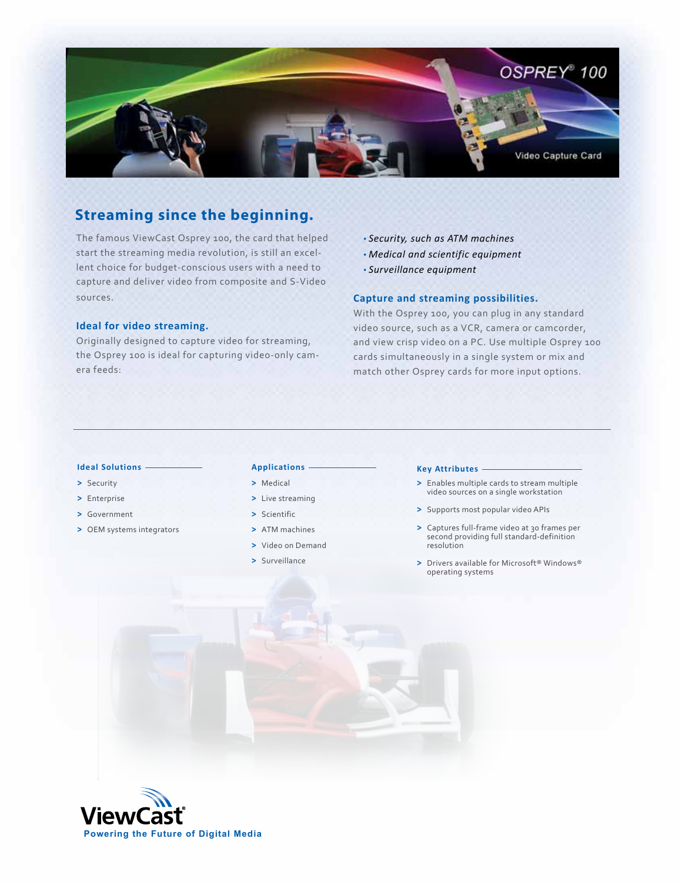

# **Streaming since the beginning.**

The famous ViewCast Osprey 100, the card that helped start the streaming media revolution, is still an excellent choice for budget-conscious users with a need to capture and deliver video from composite and S-Video sources.

## **Ideal for video streaming.**

Originally designed to capture video for streaming, the Osprey 100 is ideal for capturing video-only camera feeds:

- *Security, such as ATM machines*
- *Medical and scientific equipment*
- *Surveillance equipment*

## **Capture and streaming possibilities.**

With the Osprey 100, you can plug in any standard video source, such as a VCR, camera or camcorder, and view crisp video on a PC. Use multiple Osprey 100 cards simultaneously in a single system or mix and match other Osprey cards for more input options.

## **Ideal Solutions**

- **>** Security
- **>** Enterprise
- **>** Government
- **>** OEM systems integrators

## **Applications**

### **>** Medical

- **>** Live streaming
- **>** Scientific
- **>** ATM machines
- **>** Video on Demand
- **>** Surveillance

#### **Key Attributes**

- **>** Enables multiple cards to stream multiple video sources on a single workstation
- **>** Supports most popular video APIs
- **>** Captures full-frame video at 30 frames per second providing full standard-definition resolution
- **>** Drivers available for Microsoft® Windows® operating systems